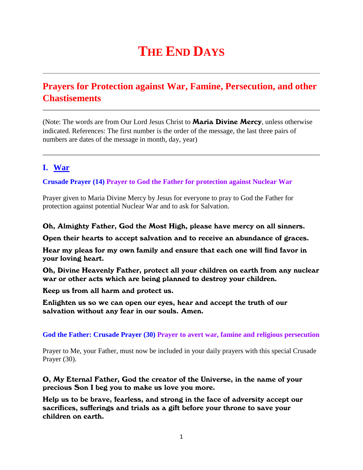# **THE END DAYS**

# **Prayers for Protection against War, Famine, Persecution, and other Chastisements**

(Note: The words are from Our Lord Jesus Christ to **Maria Divine Mercy**, unless otherwise indicated. References: The first number is the order of the message, the last three pairs of numbers are dates of the message in month, day, year)

# **I. War**

## **Crusade Prayer (14) Prayer to God the Father for protection against Nuclear War**

Prayer given to Maria Divine Mercy by Jesus for everyone to pray to God the Father for protection against potential Nuclear War and to ask for Salvation.

## Oh, Almighty Father, God the Most High, please have mercy on all sinners.

Open their hearts to accept salvation and to receive an abundance of graces.

Hear my pleas for my own family and ensure that each one will find favor in your loving heart.

Oh, Divine Heavenly Father, protect all your children on earth from any nuclear war or other acts which are being planned to destroy your children.

Keep us from all harm and protect us.

Enlighten us so we can open our eyes, hear and accept the truth of our salvation without any fear in our souls. Amen.

### **God the Father: Crusade Prayer (30) Prayer to avert war, famine and religious persecution**

Prayer to Me, your Father, must now be included in your daily prayers with this special Crusade Prayer (30).

O, My Eternal Father, God the creator of the Universe, in the name of your precious Son I beg you to make us love you more.

Help us to be brave, fearless, and strong in the face of adversity accept our sacrifices, sufferings and trials as a gift before your throne to save your children on earth.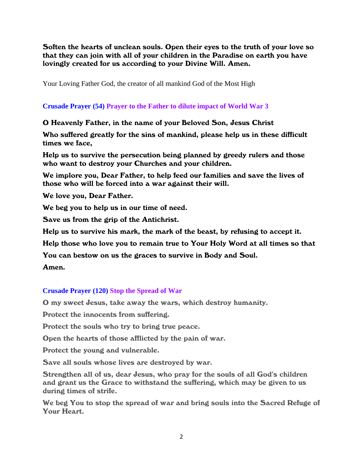Soften the hearts of unclean souls. Open their eyes to the truth of your love so that they can join with all of your children in the Paradise on earth you have lovingly created for us according to your Divine Will. Amen.

Your Loving Father God, the creator of all mankind God of the Most High

## **Crusade Prayer (54) Prayer to the Father to dilute impact of World War 3**

## O Heavenly Father, in the name of your Beloved Son, Jesus Christ

Who suffered greatly for the sins of mankind, please help us in these difficult times we face,

Help us to survive the persecution being planned by greedy rulers and those who want to destroy your Churches and your children.

We implore you, Dear Father, to help feed our families and save the lives of those who will be forced into a war against their will.

We love you, Dear Father.

We beg you to help us in our time of need.

Save us from the grip of the Antichrist.

Help us to survive his mark, the mark of the beast, by refusing to accept it.

Help those who love you to remain true to Your Holy Word at all times so that

You can bestow on us the graces to survive in Body and Soul.

## Amen.

## **Crusade Prayer (120) Stop the Spread of War**

O my sweet Jesus, take away the wars, which destroy humanity.

Protect the innocents from suffering.

Protect the souls who try to bring true peace.

Open the hearts of those afflicted by the pain of war.

Protect the young and vulnerable.

Save all souls whose lives are destroyed by war.

Strengthen all of us, dear Jesus, who pray for the souls of all God's children and grant us the Grace to withstand the suffering, which may be given to us during times of strife.

We beg You to stop the spread of war and bring souls into the Sacred Refuge of Your Heart.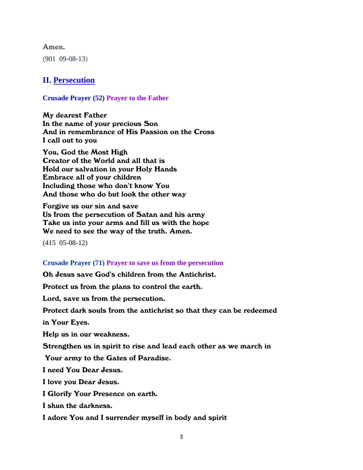#### Amen.

(901 09-08-13)

## **II. Persecution**

#### **Crusade Prayer (52) Prayer to the Father**

My dearest Father In the name of your precious Son And in remembrance of His Passion on the Cross I call out to you

You, God the Most High Creator of the World and all that is Hold our salvation in your Holy Hands Embrace all of your children Including those who don't know You And those who do but look the other way

Forgive us our sin and save Us from the persecution of Satan and his army Take us into your arms and fill us with the hope We need to see the way of the truth. Amen.

**(**415 05-08-12**)**

#### **Crusade Prayer (71) Prayer to save us from the persecution**

Oh Jesus save God's children from the Antichrist.

Protect us from the plans to control the earth.

Lord, save us from the persecution.

Protect dark souls from the antichrist so that they can be redeemed

in Your Eyes.

Help us in our weakness.

Strengthen us in spirit to rise and lead each other as we march in

Your army to the Gates of Paradise.

I need You Dear Jesus.

I love you Dear Jesus.

I Glorify Your Presence on earth.

I shun the darkness.

I adore You and I surrender myself in body and spirit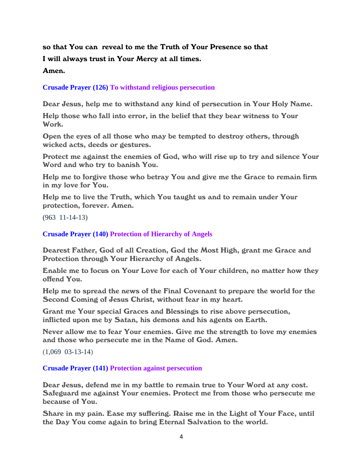# so that You can reveal to me the Truth of Your Presence so that I will always trust in Your Mercy at all times.

## Amen.

## **Crusade Prayer (126) To withstand religious persecution**

Dear Jesus, help me to withstand any kind of persecution in Your Holy Name.

Help those who fall into error, in the belief that they bear witness to Your Work.

Open the eyes of all those who may be tempted to destroy others, through wicked acts, deeds or gestures.

Protect me against the enemies of God, who will rise up to try and silence Your Word and who try to banish You.

Help me to forgive those who betray You and give me the Grace to remain firm in my love for You.

Help me to live the Truth, which You taught us and to remain under Your protection, forever. Amen.

(963 11-14-13)

**Crusade Prayer (140) Protection of Hierarchy of Angels**

Dearest Father, God of all Creation, God the Most High, grant me Grace and Protection through Your Hierarchy of Angels.

Enable me to focus on Your Love for each of Your children, no matter how they offend You.

Help me to spread the news of the Final Covenant to prepare the world for the Second Coming of Jesus Christ, without fear in my heart.

Grant me Your special Graces and Blessings to rise above persecution, inflicted upon me by Satan, his demons and his agents on Earth.

Never allow me to fear Your enemies. Give me the strength to love my enemies and those who persecute me in the Name of God. Amen.

(1,069 03-13-14)

### **Crusade Prayer (141) Protection against persecution**

Dear Jesus, defend me in my battle to remain true to Your Word at any cost. Safeguard me against Your enemies. Protect me from those who persecute me because of You.

Share in my pain. Ease my suffering. Raise me in the Light of Your Face, until the Day You come again to bring Eternal Salvation to the world.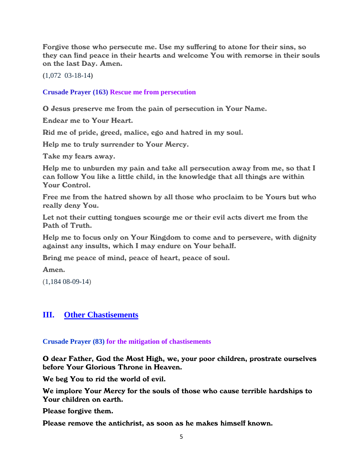Forgive those who persecute me. Use my suffering to atone for their sins, so they can find peace in their hearts and welcome You with remorse in their souls on the last Day. Amen.

**(**1,072 03-18-14**)**

**Crusade Prayer (163) Rescue me from persecution**

O Jesus preserve me from the pain of persecution in Your Name.

Endear me to Your Heart.

Rid me of pride, greed, malice, ego and hatred in my soul.

Help me to truly surrender to Your Mercy.

Take my fears away.

Help me to unburden my pain and take all persecution away from me, so that I can follow You like a little child, in the knowledge that all things are within Your Control.

Free me from the hatred shown by all those who proclaim to be Yours but who really deny You.

Let not their cutting tongues scourge me or their evil acts divert me from the Path of Truth.

Help me to focus only on Your Kingdom to come and to persevere, with dignity against any insults, which I may endure on Your behalf.

Bring me peace of mind, peace of heart, peace of soul.

Amen.

(1,184 08-09-14)

## **III. Other Chastisements**

**Crusade Prayer (83) for the mitigation of chastisements**

O dear Father, God the Most High, we, your poor children, prostrate ourselves before Your Glorious Throne in Heaven.

We beg You to rid the world of evil.

We implore Your Mercy for the souls of those who cause terrible hardships to Your children on earth.

Please forgive them.

Please remove the antichrist, as soon as he makes himself known.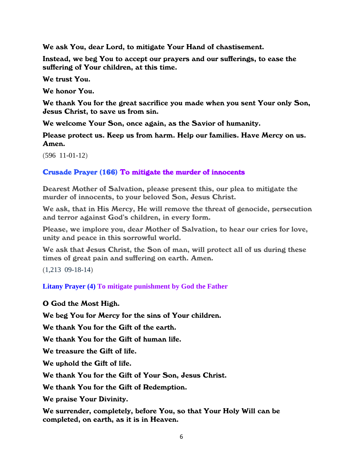We ask You, dear Lord, to mitigate Your Hand of chastisement.

Instead, we beg You to accept our prayers and our sufferings, to ease the suffering of Your children, at this time.

We trust You.

We honor You.

We thank You for the great sacrifice you made when you sent Your only Son, Jesus Christ, to save us from sin.

We welcome Your Son, once again, as the Savior of humanity.

Please protect us. Keep us from harm. Help our families. Have Mercy on us. Amen.

 $(596 \t11-01-12)$ 

## Crusade Prayer (166) To mitigate the murder of innocents

Dearest Mother of Salvation, please present this, our plea to mitigate the murder of innocents, to your beloved Son, Jesus Christ.

We ask, that in His Mercy, He will remove the threat of genocide, persecution and terror against God's children, in every form.

Please, we implore you, dear Mother of Salvation, to hear our cries for love, unity and peace in this sorrowful world.

We ask that Jesus Christ, the Son of man, will protect all of us during these times of great pain and suffering on earth. Amen.

(1,213 09-18-14)

**Litany Prayer (4) To mitigate punishment by God the Father**

## O God the Most High.

We beg You for Mercy for the sins of Your children.

We thank You for the Gift of the earth.

We thank You for the Gift of human life.

We treasure the Gift of life.

We uphold the Gift of life.

We thank You for the Gift of Your Son, Jesus Christ.

We thank You for the Gift of Redemption.

We praise Your Divinity.

We surrender, completely, before You, so that Your Holy Will can be completed, on earth, as it is in Heaven.